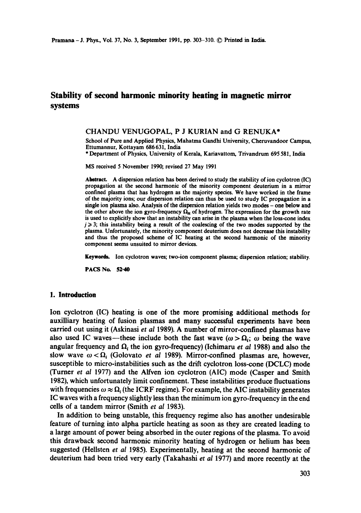# **Stability of second harmonic minority heating in magnetic mirror systems**

### CHANDU VENUGOPAL, P J KURIAN and G RENUKA\*

School of Pure and Applied Physics, Mahatma Gandhi University, Cheruvandoor Campus, Ettumannur, Kottayam 686631, India

\* Department of Physics, University of Kerala, Kariavattora, Trivandrum 695 581, India

MS received 5 November 1990; revised 27 May 1991

Abstract. A dispersion relation has been derived to study the stability of ion cyclotron (IC) propagation at the second harmonic of the minority component deuterium in a mirror confined plasma that has hydrogen as the majority species. We have worked in the frame of the majority ions; our dispersion relation can thus be used to study IC propagation in a single ion plasma also. Analysis of the dispersion relation yields two modes - one below and the other above the ion gyro-frequency  $\Omega_H$  of hydrogen. The expression for the growth rate is used to explicitly show that an instabifity can arise in the plasma when the loss-cone index  $j \geqslant 3$ ; this instability being a result of the coalescing of the two modes supported by the plasma. Unfortunately, the minority component deuterium does not decrease this instability and thus the proposed scheme of IC heating at the second harmonic of the minority component seems unsuited to mirror devices.

Keywords. Ion cyclotron waves; two-ion component plasma; dispersion relation; stability.

PACS No. 52-40

### **1. Introduction**

Ion cyclotron (IC) heating is one of the more promising additional methods for auxilliary heating of fusion plasmas and many successful experiments have been carried out using it (Askinasi *et al* 1989). A number of mirror-confined plasmas have also used IC waves--these include both the fast wave  $(\omega > \Omega_i; \omega$  being the wave angular frequency and  $\Omega_t$ , the ion gyro-frequency) (Ichimaru *et al* 1988) and also the slow wave  $\omega < \Omega_i$  (Golovato *et al 1989)*. Mirror-confined plasmas are, however, susceptible to micro-instabilities such as the drift cyclotron loss-cone (DCLC) mode (Turner *et al* 1977) and the Alfven ion cyclotron (AIC) mode (Casper and Smith 1982), which unfortunately limit confinement. These instabilities produce fluctuations with frequencies  $\omega \approx \Omega_i$  (the ICRF regime). For example, the AIC instability generates IC waves with a frequency slightly less than the minimum ion gyro-frequency in the end cells of a tandem mirror (Smith *et al* 1983).

In addition to being unstable, this frequency regime also has another undesirable feature of turning into alpha particle heating as soon as they are created leading to a large amount of power being absorbed in the outer regions of the plasma. To avoid this drawback second harmonic minority heating of hydrogen or helium has been suggested (Hellsten *et ai* 1985). Experimentally, heating at the second harmonic of deuterium had been tried very early (Takahashi *et al* 1977) and more recently at the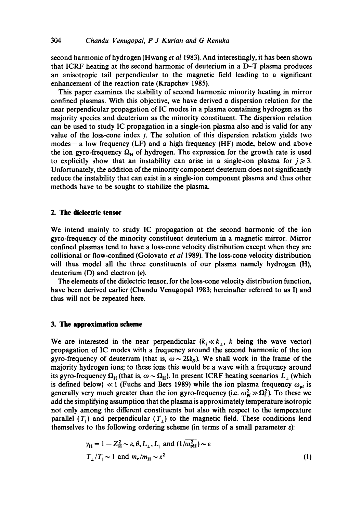second harmonic of hydrogen (Hwang *et al* 1983). And interestingly, it has been shown that ICRF heating at the second harmonic of deuterium in a D-T plasma produces an anisotropic tail perpendicular to the magnetic field leading to a significant enhancement of the reaction rate (Krapchev 1985).

This paper examines the stability of second harmonic minority heating in mirror confined plasmas. With this objective, we have derived a dispersion relation for the near perpendicular propagation of IC modes in a plasma containing hydrogen as the majority species and deuterium as the minority constituent. The dispersion relation can be used to study IC propagation in a single-ion plasma also and is valid for any value of the loss-cone index  $j$ . The solution of this dispersion relation yields two modes—a low frequency (LF) and a high frequency (HF) mode, below and above the ion gyro-frequency  $\Omega_H$  of hydrogen. The expression for the growth rate is used to explicitly show that an instability can arise in a single-ion plasma for  $j \ge 3$ . Unfortunately, the addition of the minority component deuterium does not significantly reduce the instability that can exist in a single-ion component plasma and thus other methods have to be sought to stabilize the plasma.

### **2. The dielectric tensor**

We intend mainly to study IC propagation at the second harmonic of the ion gyro-frequency of the minority constituent deuterium in a magnetic mirror. Mirror confined plasmas tend to have a loss-cone velocity distribution except when they are collisional or flow-confined (Golovato *et al* 1989). The loss-cone velocity distribution will thus model all the three constituents of our plasma namely hydrogen (H), deuterium (D) and electron (e).

The elements of the dielectric tensor, for the loss-cone velocity distribution function, have been derived earlier (Chandu Venugopal 1983, hereinafter referred to as I) and thus will not be repeated here.

# **3. The approximation scheme**

We are interested in the near perpendicular  $(k_{\parallel} \ll k_{\perp}, k$  being the wave vector) propagation of IC modes with a frequency around the second harmonic of the ion gyro-frequency of deuterium (that is,  $\omega \sim 2\Omega_D$ ). We shall work in the frame of the majority hydrogen ions; to these ions this would be a wave with a frequency around its gyro-frequency  $\Omega_H$  (that is,  $\omega \sim \Omega_H$ ). In present ICRF heating scenarios  $L_{\perp}$  (which is defined below)  $\ll 1$  (Fuchs and Bers 1989) while the ion plasma frequency  $\omega_{pi}$  is generally very much greater than the ion gyro-frequency (i.e.  $\omega_{pi}^2 \gg \Omega_i^2$ ). To these we add the simplifying assumption that the plasma is approximately temperature isotropic not only among the different constituents but also with respect to the temperature parallel  $(T_{\parallel})$  and perpendicular  $(T_{\perp})$  to the magnetic field. These conditions lend themselves to the following ordering scheme (in terms of a small parameter  $\varepsilon$ ):

$$
\gamma_{\rm H} = 1 - Z_{\rm H}^2 \sim \varepsilon, \theta, L_{\perp}, L_{\parallel} \text{ and } (1/\omega_{\rm pH}^2) \sim \varepsilon
$$
  
\n
$$
T_{\perp}/T_{\parallel} \sim 1 \text{ and } m_e/m_{\rm H} \sim \varepsilon^2
$$
\n(1)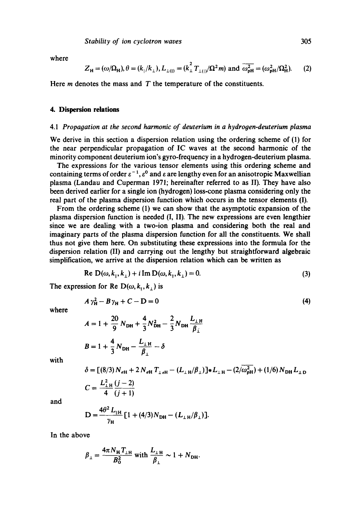where

$$
Z_{\rm H} = (\omega/\Omega_{\rm H}), \theta = (k_{\parallel}/k_{\perp}), L_{\perp (\parallel)} = (k_{\perp}^{2} T_{\perp (\parallel)} / \Omega^{2} m) \text{ and } \overline{\omega_{\rm pH}^{2}} = (\omega_{\rm pH}^{2} / \Omega_{\rm H}^{2}).
$$
 (2)

Here  *denotes the mass and*  $*T*$  *the temperature of the constituents.* 

### **4. Dispersion relations**

### *4.1 Propagation at the second harmonic of deuterium in a hydrogen-deuterium plasma*

We derive in this section a dispersion relation using the ordering scheme of (1) for the near perpendicular propagation of IC waves at the second harmonic of the minority component deuterium ion's gyro-frequency in a hydrogen-deuterium plasma.

The expressions for the various tensor elements using this ordering scheme and containing terms of order  $\epsilon^{-1}$ ,  $\epsilon^0$  and  $\epsilon$  are lengthy even for an anisotropic Maxwellian plasma (Landau and Cuperman 1971; hereinafter referred to as II). They have also been derived earlier for a single ion (hydrogen) loss-cone plasma considering only the real part of the plasma dispersion function which occurs in the tensor elements (I).

From the ordering scheme (1) we can show that the asymptotic expansion of the plasma dispersion function is needed (I, II). The new expressions are even lengthier since we are dealing with a two-ion plasma and considering both the real and imaginary parts of the plasma dispersion function for all the constituents. We shall thus not give them here. On substituting these expressions into the formula for the dispersion relation (II) and carrying out the lengthy but straightforward algebraic simplification, we arrive at the dispersion relation which can be written as

Re D(
$$
\omega, k_{\parallel}, k_{\perp}
$$
) + *i* Im D( $\omega, k_{\parallel}, k_{\perp}$ ) = 0. (3)

The expression for Re  $D(\omega, k_{\parallel}, k_{\perp})$  is

$$
A\gamma_H^2 - B\gamma_H + C - D = 0\tag{4}
$$

where

$$
B = 1 + \frac{4}{3} N_{\text{DH}} - \frac{L_{\perp H}}{\beta} - \delta
$$

 $A = 1 + \frac{20}{9}N_{\text{DH}} + \frac{4}{3}N_{\text{DH}}^2 - \frac{2}{3}N_{\text{DH}}\frac{L_{\perp \text{H}}}{a}$ 

with

$$
\delta = \left[ (8/3) N_{eH} + 2 N_{eH} T_{\perp eH} - (L_{\perp H}/\beta_{\perp}) \right] * L_{\perp H} - (2/\omega_{\rm pH}^2) + (1/6) N_{\rm DH} L_{\perp D}
$$
  

$$
C = \frac{L_{\perp H}^2}{4} \frac{(j-2)}{(j+1)}
$$

and

$$
D = \frac{4\theta^2 L_{\parallel H}}{\gamma_H} [1 + (4/3) N_{DH} - (L_{\perp H}/\beta_{\perp})].
$$

In the above

$$
\beta_{\perp} = \frac{4\pi N_{\rm H} T_{\rm \perp H}}{B_0^2}
$$
 with  $\frac{L_{\perp H}}{\beta_{\perp}}$  ~ 1 + N<sub>DH</sub>.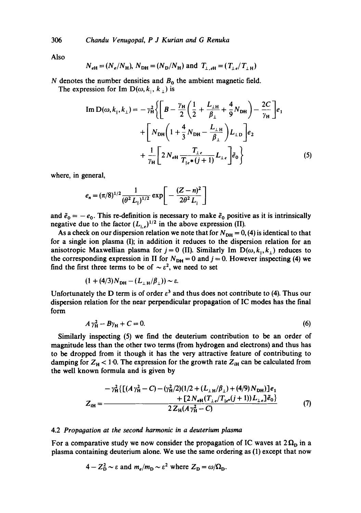306 *Chandu Venugopal, P J Kurian and G Renuka* 

Also

$$
N_{eH} = (N_e/N_H)
$$
,  $N_{DH} = (N_D/N_H)$  and  $T_{\perp, eH} = (T_{\perp e}/T_{\perp H})$ 

N denotes the number densities and  $B_0$  the ambient magnetic field.

The expression for Im  $D(\omega, k_{\parallel}, k_{\perp})$  is

Im D(
$$
\omega
$$
,  $k_{\parallel}$ ,  $k_{\perp}$ ) =  $-\gamma_{\text{H}}^2 \left\{ \left[ B - \frac{\gamma_{\text{H}}}{2} \left( \frac{1}{2} + \frac{L_{\perp \text{H}}}{\beta_{\perp}} + \frac{4}{9} N_{\text{DH}} \right) - \frac{2C}{\gamma_{\text{H}}} \right] e_1 + \left[ N_{\text{DH}} \left( 1 + \frac{4}{3} N_{\text{DH}} - \frac{L_{\perp \text{H}}}{\beta_{\perp}} \right) L_{\perp \text{D}} \right] e_2 + \frac{1}{\gamma_{\text{H}}} \left[ 2 N_{\text{eH}} \frac{T_{\perp e}}{T_{\parallel e} * (j + 1)} L_{\perp e} \right] e_0 \right\}$  (5)

where, in general,

$$
e_n = (\pi/8)^{1/2} \frac{1}{(\theta^2 L_{\parallel})^{1/2}} \exp \left[ -\frac{(Z-n)^2}{2\theta^2 L_{\parallel}} \right]
$$

and  $\tilde{e}_0 = -e_0$ . This re-definition is necessary to make  $\tilde{e}_0$  positive as it is intrinsically negative due to the factor  $(L_{i,e})^{1/2}$  in the above expression (II).

As a check on our dispersion relation we note that for  $N_{\text{DH}} = 0$ , (4) is identical to that for a single ion plasma (I); in addition it reduces to the dispersion relation for an anisotropic Maxwellian plasma for  $j = 0$  (II). Similarly Im  $D(\omega, k_{\parallel}, k_{\perp})$  reduces to the corresponding expression in II for  $N_{\text{DH}} = 0$  and  $j = 0$ . However inspecting (4) we find the first three terms to be of  $\sim \varepsilon^2$ , we need to set

$$
(1 + (4/3)N_{\text{DH}} - (L_{\perp H}/\beta_{\perp})) \sim \varepsilon.
$$

Unfortunately the D term is of order  $\varepsilon^3$  and thus does not contribute to (4). Thus our dispersion relation for the near perpendicular propagation of IC modes has the final form

$$
A\gamma_H^2 - B\gamma_H + C = 0. \tag{6}
$$

Similarly inspecting (5) we find the deuterium contribution to be an order of magnitude less than the other two terms (from hydrogen and electrons) and thus has to be dropped from it though it has the very attractive feature of contributing to damping for  $Z_H < 1.0$ . The expression for the growth rate  $Z_H$  can be calculated from the well known formula and is given by

$$
Z_{\text{IH}} = \frac{-\gamma_{\text{H}}^2 \{ \left[ (A \gamma_{\text{H}}^2 - C) - (\gamma_{\text{H}}^2 / 2)(1/2 + (L_{\perp \text{H}}/\beta_{\perp}) + (4/9) N_{\text{DH}}) \right] e_1 + \left[ 2 N_{e\text{H}} (T_{\perp e}/T_{\parallel e^*} (j+1)) L_{\perp e} \right] \tilde{e}_0 \}}{2 Z_{\text{H}} (A \gamma_{\text{H}}^2 - C)} \tag{7}
$$

# 4.2 Propagation at the second harmonic in a deuterium plasma

For a comparative study we now consider the propagation of IC waves at  $2 \Omega_{\rm D}$  in a plasma containing deuterium alone. We use the same ordering as (1) except that now

$$
4 - Z_D^2 \sim \varepsilon
$$
 and  $m_e/m_D \sim \varepsilon^2$  where  $Z_D = \omega/\Omega_D$ .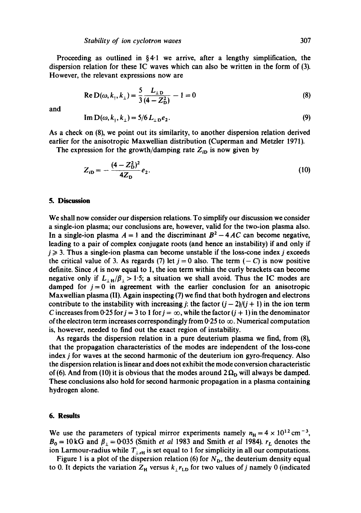Proceeding as outlined in  $\S 4.1$  we arrive, after a lengthy simplification, the dispersion relation for these IC waves which can also be written in the form of (3). However, the relevant expressions now are

Re D(
$$
\omega
$$
,  $k_{\parallel}$ ,  $k_{\perp}$ ) =  $\frac{5}{3} \frac{L_{\perp D}}{(4 - Z_D^2)} - 1 = 0$  (8)

and

$$
\operatorname{Im} \mathrm{D}(\omega, k_{\parallel}, k_{\perp}) = 5/6 L_{\perp \mathrm{D}} e_2. \tag{9}
$$

As a check on (8), we point out its similarity, to another dispersion relation derived earlier for the anisotropic Maxwellian distribution (Cuperman and Metzler 1971).

The expression for the growth/damping rate  $Z_{iD}$  is now given by

$$
Z_{iD} = -\frac{(4 - Z_D^2)^2}{4Z_D} e_2.
$$
 (10)

### **5. Discussion**

We shall now consider our dispersion relations. To simplify our discussion we consider a single-ion plasma; our conclusions are, however, valid for the two-ion plasma also. In a single-ion plasma  $A = 1$  and the discriminant  $B^2 - 4AC$  can become negative, leading to a pair of complex conjugate roots (and hence an instability) if and only if  $i \geqslant 3$ . Thus a single-ion plasma can become unstable if the loss-cone index j exceeds the critical value of 3. As regards (7) let  $j = 0$  also. The term  $(-C)$  is now positive definite. Since  $\vec{A}$  is now equal to 1, the ion term within the curly brackets can become negative only if  $L_{\perp H}/\beta_{\perp} > 1.5$ ; a situation we shall avoid. Thus the IC modes are damped for  $j = 0$  in agreement with the earlier conclusion for an anisotropic Maxwellian plasma (II). Again inspecting (7) we find that both hydrogen and electrons contribute to the instability with increasing j: the factor  $(j - 2)/(j + 1)$  in the ion term C increases from 0.25 for  $j = 3$  to 1 for  $j = \infty$ , while the factor  $(j + 1)$  in the denominator of the electron term increases correspondingly from  $0.25$  to  $\infty$ . Numerical computation is, however, needed to find out the exact region of instability.

As regards the dispersion relation in a pure deuterium plasma we find, from (8), that the propagation characteristics of the modes are independent of the loss-cone index j for waves at the second harmonic of the deuterium ion gyro-frequency. Also the dispersion relation is linear and does not exhibit the mode conversion characteristic of (6). And from (10) it is obvious that the modes around  $2\Omega_{\rm D}$  will always be damped. These conclusions also hold for second harmonic propagation in a plasma containing hydrogen alone.

### **6. Results**

We use the parameters of typical mirror experiments namely  $n_H = 4 \times 10^{12}$  cm<sup>-3</sup>,  $B_0 = 10 \text{ kG}$  and  $\beta_1 = 0.035$  (Smith *et al 1983* and Smith *et al 1984).*  $r_L$  denotes the ion Larmour-radius while  $T_{\perp eH}$  is set equal to 1 for simplicity in all our computations.

Figure 1 is a plot of the dispersion relation (6) for  $N_{\rm p}$ , the deuterium density equal to 0. It depicts the variation  $Z_H$  versus  $k_{\perp}r_{LD}$  for two values of j namely 0 (indicated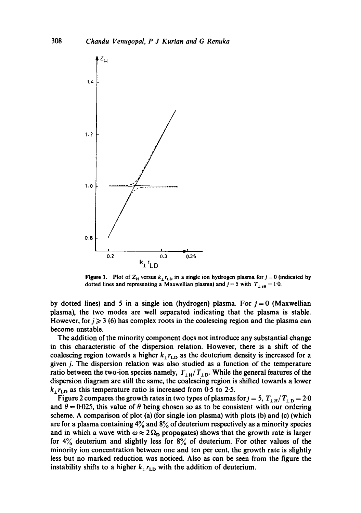

**Figure 1.** Plot of  $Z_H$  versus  $k_\perp r_{LD}$  in a single ion hydrogen plasma for  $j = 0$  (indicated by dotted lines and representing a Maxwellian plasma) and  $j = 5$  with  $T_{\perp eH} = 1.0$ .

by dotted lines) and 5 in a single ion (hydrogen) plasma. For  $j = 0$  (Maxwellian plasma), the two modes are well separated indicating that the plasma is stable. However, for  $j \ge 3$  (6) has complex roots in the coalescing region and the plasma can become unstable.

The addition of the minority component does not introduce any substantial change in this characteristic of the dispersion relation. However, there is a shift of the coalescing region towards a higher  $k_{\perp} r_{\text{LD}}$  as the deuterium density is increased for a given j. The dispersion relation was also studied as a function of the temperature ratio between the two-ion species namely,  $T_{\perp H}/T_{\perp D}$ . While the general features of the dispersion diagram are still the same, the coalescing region is shifted towards a lower  $k_{\perp}r_{\text{LD}}$  as this temperature ratio is increased from 0.5 to 2.5.

Figure 2 compares the growth rates in two types of plasmas for  $j = 5$ ,  $T_{\pm H}/T_{\pm D} = 2.0$ and  $\theta = 0.025$ , this value of  $\theta$  being chosen so as to be consistent with our ordering scheme. A comparison of plot (a) (for single ion plasma) with plots (b) and (c) (which are for a plasma containing 4% and 8% of deuterium respectively as a minority species and in which a wave with  $\omega \approx 2 \Omega_{\rm D}$  propagates) shows that the growth rate is larger for 4% deuterium and slightly less for 8% of deuterium. For other values of the minority ion concentration between one and ten per cent, the growth rate is slightly less but no marked reduction was noticed. Also as can be seen from the figure the instability shifts to a higher  $k_1r_{LD}$  with the addition of deuterium.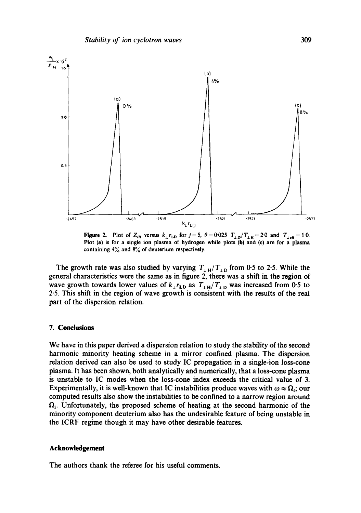

Figure 2. Plot of  $Z_{iH}$  versus  $k_{\perp}r_{\text{LD}}$  for  $j=5$ ,  $\theta=0.025$   $T_{\perp D}/T_{\perp H}=2.0$  and  $T_{\perp eH}=1.0$ . Plot (a) is for a single ion plasma of hydrogen while plots  $(b)$  and  $(c)$  are for a plasma containing 4% and 8% of deuterium respectively.

The growth rate was also studied by varying  $T_{\perp H}/T_{\perp D}$  from 0.5 to 2.5. While the general characteristics were the same as in figure 2, there was a shift in the region of wave growth towards lower values of  $k_{\perp}r_{\text{LD}}$  as  $T_{\perp H}/T_{\perp D}$  was increased from 0.5 to 2.5. This shift in the region of wave growth is consistent with the results of the real part of the dispersion relation.

# **7. Conclusions**

We have in this paper derived a dispersion relation to study the stability of the second harmonic minority heating scheme in a mirror confined plasma. The dispersion relation derived can also be used to study IC propagation in a single-ion loss-cone plasma. It has been shown, both analytically and numerically, that a loss-cone plasma is unstable to IC modes when the loss-cone index exceeds the critical value of 3. Experimentally, it is well-known that IC instabilities produce waves with  $\omega \approx \Omega_i$ ; our computed results also show the instabilities to be confined to a narrow region around  $\Omega_i$ . Unfortunately, the proposed scheme of heating at the second harmonic of the minority component deuterium also has the undesirable feature of being unstable in the ICRF regime though it may have other desirable features.

### **Acknowledgement**

The authors thank the referee for his useful comments.